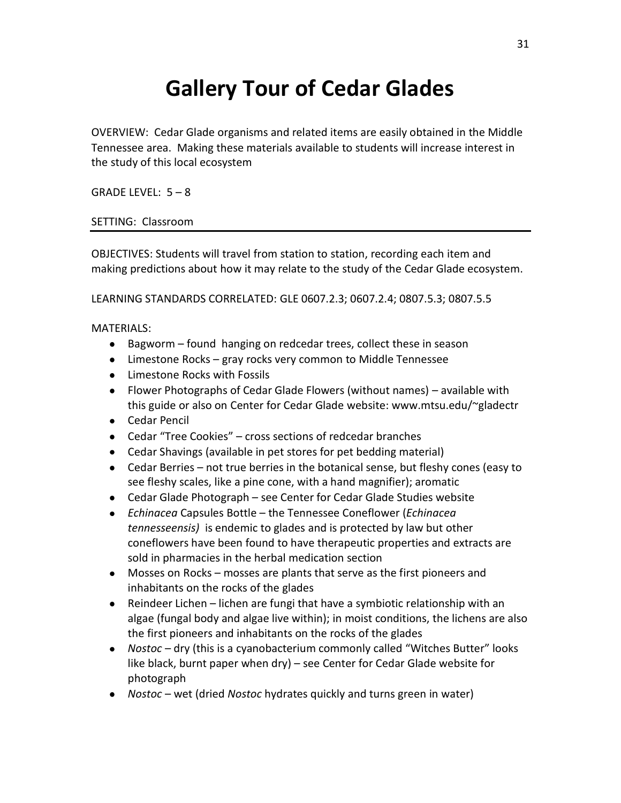## **Gallery Tour of Cedar Glades**

OVERVIEW: Cedar Glade organisms and related items are easily obtained in the Middle Tennessee area. Making these materials available to students will increase interest in the study of this local ecosystem

GRADE LEVEL:  $5 - 8$ 

## SETTING: Classroom

OBJECTIVES: Students will travel from station to station, recording each item and making predictions about how it may relate to the study of the Cedar Glade ecosystem.

LEARNING STANDARDS CORRELATED: GLE 0607.2.3; 0607.2.4; 0807.5.3; 0807.5.5

MATERIALS:

- Bagworm found hanging on redcedar trees, collect these in season
- Limestone Rocks gray rocks very common to Middle Tennessee
- Limestone Rocks with Fossils
- Flower Photographs of Cedar Glade Flowers (without names) available with this guide or also on Center for Cedar Glade website: www.mtsu.edu/~gladectr
- Cedar Pencil
- Cedar "Tree Cookies" cross sections of redcedar branches
- Cedar Shavings (available in pet stores for pet bedding material)
- Cedar Berries not true berries in the botanical sense, but fleshy cones (easy to see fleshy scales, like a pine cone, with a hand magnifier); aromatic
- Cedar Glade Photograph see Center for Cedar Glade Studies website
- *Echinacea* Capsules Bottle the Tennessee Coneflower (*Echinacea tennesseensis)* is endemic to glades and is protected by law but other coneflowers have been found to have therapeutic properties and extracts are sold in pharmacies in the herbal medication section
- Mosses on Rocks mosses are plants that serve as the first pioneers and inhabitants on the rocks of the glades
- Reindeer Lichen lichen are fungi that have a symbiotic relationship with an algae (fungal body and algae live within); in moist conditions, the lichens are also the first pioneers and inhabitants on the rocks of the glades
- *Nostoc* dry (this is a cyanobacterium commonly called "Witches Butter" looks like black, burnt paper when dry) – see Center for Cedar Glade website for photograph
- *Nostoc* wet (dried *Nostoc* hydrates quickly and turns green in water)